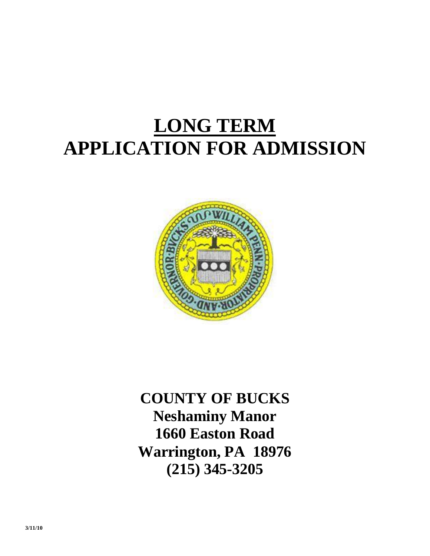## **LONG TERM APPLICATION FOR ADMISSION**



**COUNTY OF BUCKS Neshaminy Manor 1660 Easton Road Warrington, PA 18976 (215) 345-3205**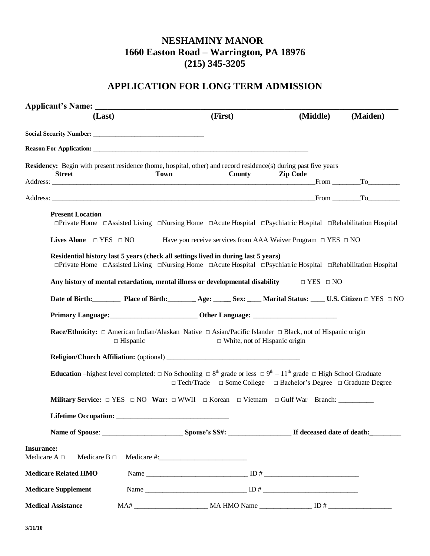## **NESHAMINY MANOR 1660 Easton Road – Warrington, PA 18976 (215) 345-3205**

## **APPLICATION FOR LONG TERM ADMISSION**

| (Last)                                                      | (First)                                                                                                                                                                                                                                              | (Middle)             | (Maiden) |
|-------------------------------------------------------------|------------------------------------------------------------------------------------------------------------------------------------------------------------------------------------------------------------------------------------------------------|----------------------|----------|
|                                                             |                                                                                                                                                                                                                                                      |                      |          |
|                                                             |                                                                                                                                                                                                                                                      |                      |          |
| <b>Street</b>                                               | Residency: Begin with present residence (home, hospital, other) and record residence(s) during past five years<br><b>Town</b><br>County                                                                                                              | <b>Zip Code</b>      | From To  |
|                                                             |                                                                                                                                                                                                                                                      |                      |          |
| <b>Present Location</b>                                     | □Private Home □Assisted Living □Nursing Home □Acute Hospital □Psychiatric Hospital □Rehabilitation Hospital                                                                                                                                          |                      |          |
| Lives Alone $\Box$ YES $\Box$ NO                            | Have you receive services from AAA Waiver Program $\Box$ YES $\Box$ NO                                                                                                                                                                               |                      |          |
|                                                             | Residential history last 5 years (check all settings lived in during last 5 years)<br>$\Box$ Private Home $\Box$ Assisted Living $\Box$ Nursing Home $\Box$ Acute Hospital $\Box$ Psychiatric Hospital $\Box$ Rehabilitation Hospital                |                      |          |
|                                                             | Any history of mental retardation, mental illness or developmental disability                                                                                                                                                                        | $\Box$ YES $\Box$ NO |          |
|                                                             | Date of Birth: Place of Birth: Age: Sex: Marital Status: U.S. Citizen □ YES □ NO                                                                                                                                                                     |                      |          |
|                                                             |                                                                                                                                                                                                                                                      |                      |          |
| $\Box$ Hispanic                                             | <b>Race/Ethnicity:</b> $\Box$ American Indian/Alaskan Native $\Box$ Asian/Pacific Islander $\Box$ Black, not of Hispanic origin<br>$\Box$ White, not of Hispanic origin                                                                              |                      |          |
|                                                             |                                                                                                                                                                                                                                                      |                      |          |
|                                                             | <b>Education</b> –highest level completed: $\Box$ No Schooling $\Box$ 8 <sup>th</sup> grade or less $\Box$ 9 <sup>th</sup> – 11 <sup>th</sup> grade $\Box$ High School Graduate<br>□ Tech/Trade □ Some College □ Bachelor's Degree □ Graduate Degree |                      |          |
|                                                             |                                                                                                                                                                                                                                                      |                      |          |
|                                                             |                                                                                                                                                                                                                                                      |                      |          |
|                                                             |                                                                                                                                                                                                                                                      |                      |          |
| <b>Insurance:</b><br>Medicare A $\Box$<br>Medicare B $\Box$ |                                                                                                                                                                                                                                                      |                      |          |
| <b>Medicare Related HMO</b>                                 |                                                                                                                                                                                                                                                      |                      |          |
| <b>Medicare Supplement</b>                                  |                                                                                                                                                                                                                                                      |                      |          |
| <b>Medical Assistance</b>                                   |                                                                                                                                                                                                                                                      |                      |          |